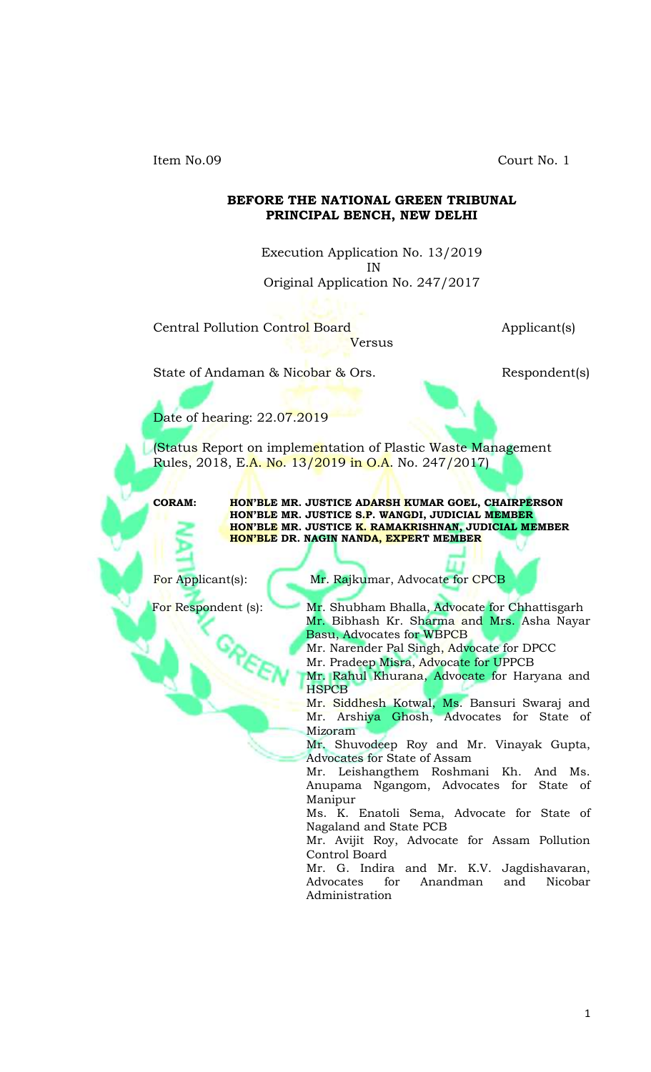Item No.09 Court No. 1

#### **BEFORE THE NATIONAL GREEN TRIBUNAL PRINCIPAL BENCH, NEW DELHI**

Execution Application No. 13/2019 IN Original Application No. 247/2017

Versus

# Central Pollution Control Board **Applicant**(s)

State of Andaman & Nicobar & Ors. Respondent(s)

Date of hearing: 22.07.2019

(Status Report on implementation of Plastic Waste Management Rules, 2018, E.<mark>A. No. 13/2019 in O.A.</mark> No. 247/2017)

**CORAM: HON'BLE MR. JUSTICE ADARSH KUMAR GOEL, CHAIRPERSON HON'BLE MR. JUSTICE S.P. WANGDI, JUDICIAL MEMBER HON'BLE MR. JUSTICE K. RAMAKRISHNAN, JUDICIAL MEMBER HON'BLE DR. NAGIN NANDA, EXPERT MEMBER**

For Applicant(s): Mr. Rajkumar, Advocate for CPCB

For Respondent (s): Mr. Shubham Bhalla, Advocate for Chhattisgarh Mr. Bibhash Kr. Sharma and Mrs. Asha Nayar Basu, Advocates for WBPCB

Mr. Narender Pal Singh, Advocate for DPCC

Mr. Pradeep Misra, Advocate for UPPCB

Mr. Rahul Khurana, Advocate for Haryana and **HSPCB** 

Mr. Siddhesh Kotwal, Ms. Bansuri Swaraj and Mr. Arshiya Ghosh, Advocates for State of Mizoram

Mr. Shuvodeep Roy and Mr. Vinayak Gupta, Advocates for State of Assam

Mr. Leishangthem Roshmani Kh. And Ms. Anupama Ngangom, Advocates for State of Manipur

Ms. K. Enatoli Sema, Advocate for State of Nagaland and State PCB

Mr. Avijit Roy, Advocate for Assam Pollution Control Board

Mr. G. Indira and Mr. K.V. Jagdishavaran, Advocates for Anandman and Nicobar Administration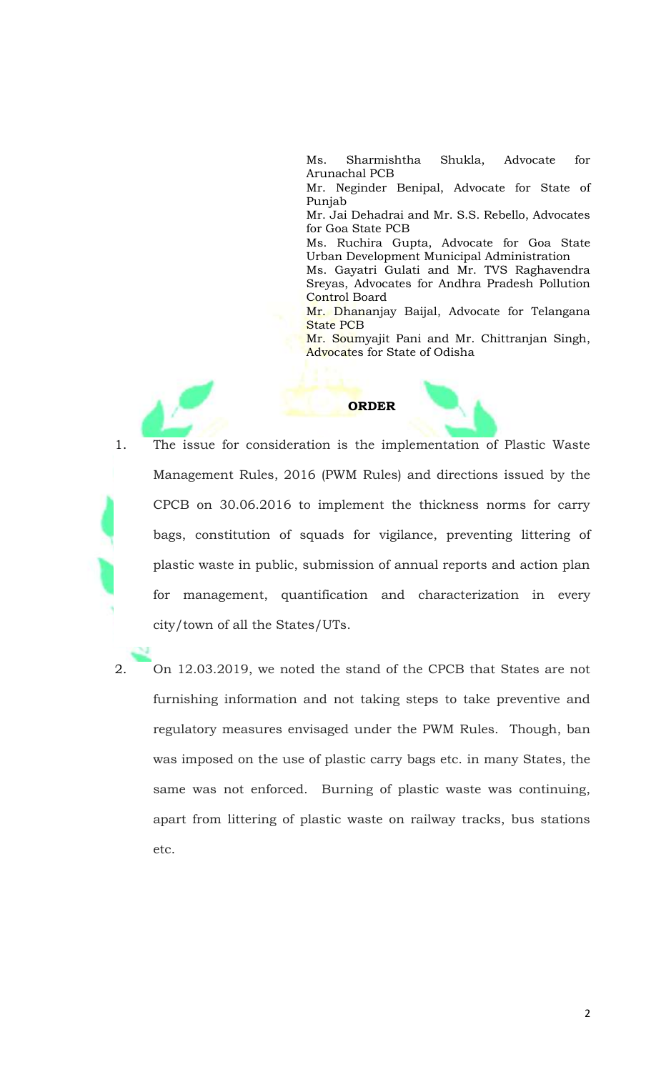Ms. Sharmishtha Shukla, Advocate for Arunachal PCB

Mr. Neginder Benipal, Advocate for State of Punjab

Mr. Jai Dehadrai and Mr. S.S. Rebello, Advocates for Goa State PCB

Ms. Ruchira Gupta, Advocate for Goa State Urban Development Municipal Administration

Ms. Gayatri Gulati and Mr. TVS Raghavendra Sreyas, Advocates for Andhra Pradesh Pollution Control Board

Mr. Dhananjay Baijal, Advocate for Telangana State PCB

Mr. Soumyajit Pani and Mr. Chittranjan Singh, Advocates for State of Odisha



- 1. The issue for consideration is the implementation of Plastic Waste Management Rules, 2016 (PWM Rules) and directions issued by the CPCB on 30.06.2016 to implement the thickness norms for carry bags, constitution of squads for vigilance, preventing littering of plastic waste in public, submission of annual reports and action plan for management, quantification and characterization in every city/town of all the States/UTs.
- 2. On 12.03.2019, we noted the stand of the CPCB that States are not furnishing information and not taking steps to take preventive and regulatory measures envisaged under the PWM Rules. Though, ban was imposed on the use of plastic carry bags etc. in many States, the same was not enforced. Burning of plastic waste was continuing, apart from littering of plastic waste on railway tracks, bus stations etc.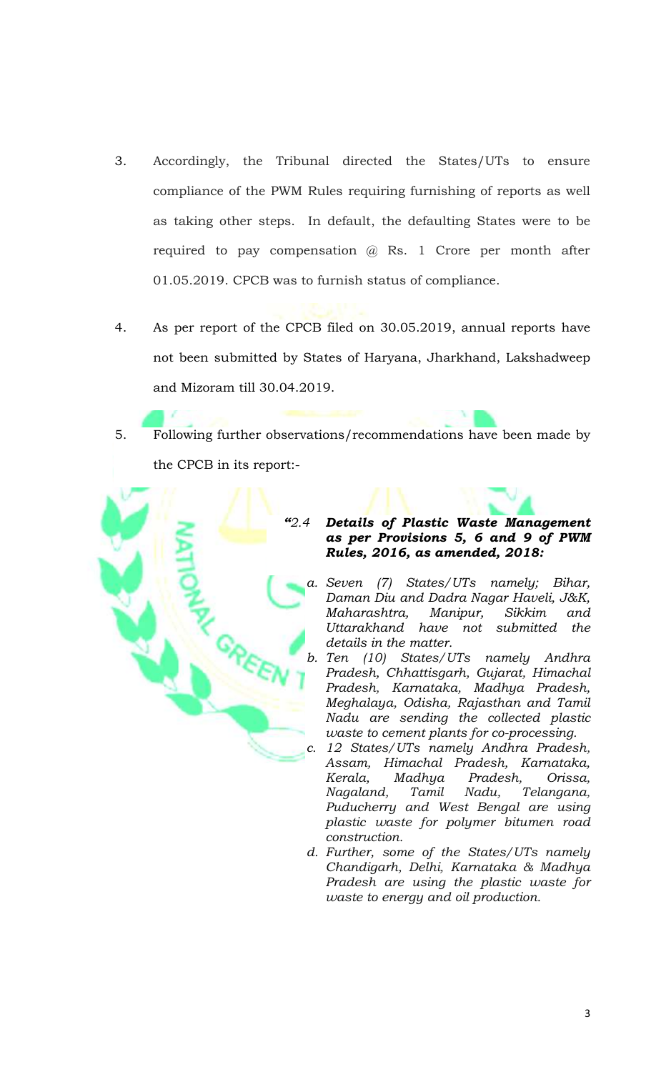- 3. Accordingly, the Tribunal directed the States/UTs to ensure compliance of the PWM Rules requiring furnishing of reports as well as taking other steps. In default, the defaulting States were to be required to pay compensation  $\varphi$  Rs. 1 Crore per month after 01.05.2019. CPCB was to furnish status of compliance.
- 4. As per report of the CPCB filed on 30.05.2019, annual reports have not been submitted by States of Haryana, Jharkhand, Lakshadweep and Mizoram till 30.04.2019.
- 5. Following further observations/recommendations have been made by the CPCB in its report:-



## *"2.4 Details of Plastic Waste Management as per Provisions 5, 6 and 9 of PWM Rules, 2016, as amended, 2018:*

- *a. Seven (7) States/UTs namely; Bihar, Daman Diu and Dadra Nagar Haveli, J&K, Maharashtra, Manipur, Sikkim and Uttarakhand have not submitted the details in the matter.*
- *b. Ten (10) States/UTs namely Andhra Pradesh, Chhattisgarh, Gujarat, Himachal Pradesh, Karnataka, Madhya Pradesh, Meghalaya, Odisha, Rajasthan and Tamil Nadu are sending the collected plastic waste to cement plants for co-processing.*
- *c. 12 States/UTs namely Andhra Pradesh, Assam, Himachal Pradesh, Karnataka, Kerala, Madhya Pradesh, Orissa, Nagaland, Tamil Nadu, Telangana, Puducherry and West Bengal are using plastic waste for polymer bitumen road construction.*
- *d. Further, some of the States/UTs namely Chandigarh, Delhi, Karnataka & Madhya Pradesh are using the plastic waste for waste to energy and oil production.*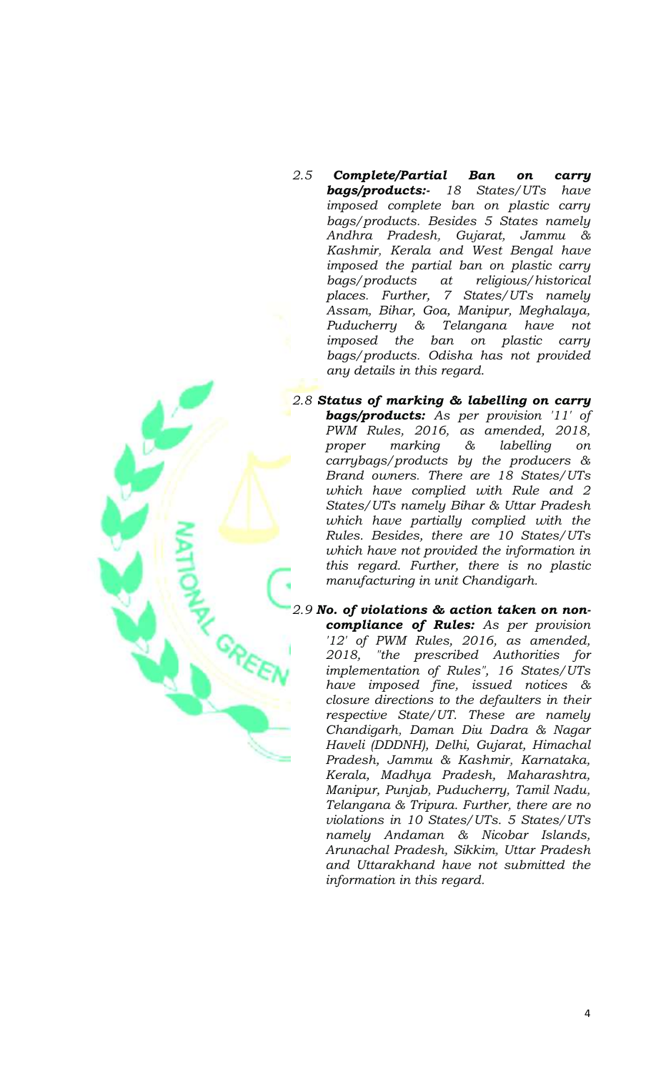- *2.5 Complete/Partial Ban on carry bags/products:- 18 States/UTs have imposed complete ban on plastic carry bags/products. Besides 5 States namely Andhra Pradesh, Gujarat, Jammu & Kashmir, Kerala and West Bengal have imposed the partial ban on plastic carry bags/products at religious/historical places. Further, 7 States/UTs namely Assam, Bihar, Goa, Manipur, Meghalaya, Puducherry & Telangana have not imposed the ban on plastic carry bags/products. Odisha has not provided any details in this regard.*
- *2.8 Status of marking & labelling on carry bags/products: As per provision '11' of PWM Rules, 2016, as amended, 2018, proper marking & labelling on carrybags/products by the producers & Brand owners. There are 18 States/UTs which have complied with Rule and 2 States/UTs namely Bihar & Uttar Pradesh which have partially complied with the Rules. Besides, there are 10 States/UTs which have not provided the information in this regard. Further, there is no plastic manufacturing in unit Chandigarh.*

*2.9 No. of violations & action taken on noncompliance of Rules: As per provision '12' of PWM Rules, 2016, as amended, 2018, "the prescribed Authorities for implementation of Rules", 16 States/UTs have imposed fine, issued notices & closure directions to the defaulters in their respective State/UT. These are namely Chandigarh, Daman Diu Dadra & Nagar Haveli (DDDNH), Delhi, Gujarat, Himachal Pradesh, Jammu & Kashmir, Karnataka, Kerala, Madhya Pradesh, Maharashtra, Manipur, Punjab, Puducherry, Tamil Nadu, Telangana & Tripura. Further, there are no violations in 10 States/UTs. 5 States/UTs namely Andaman & Nicobar Islands, Arunachal Pradesh, Sikkim, Uttar Pradesh and Uttarakhand have not submitted the information in this regard.*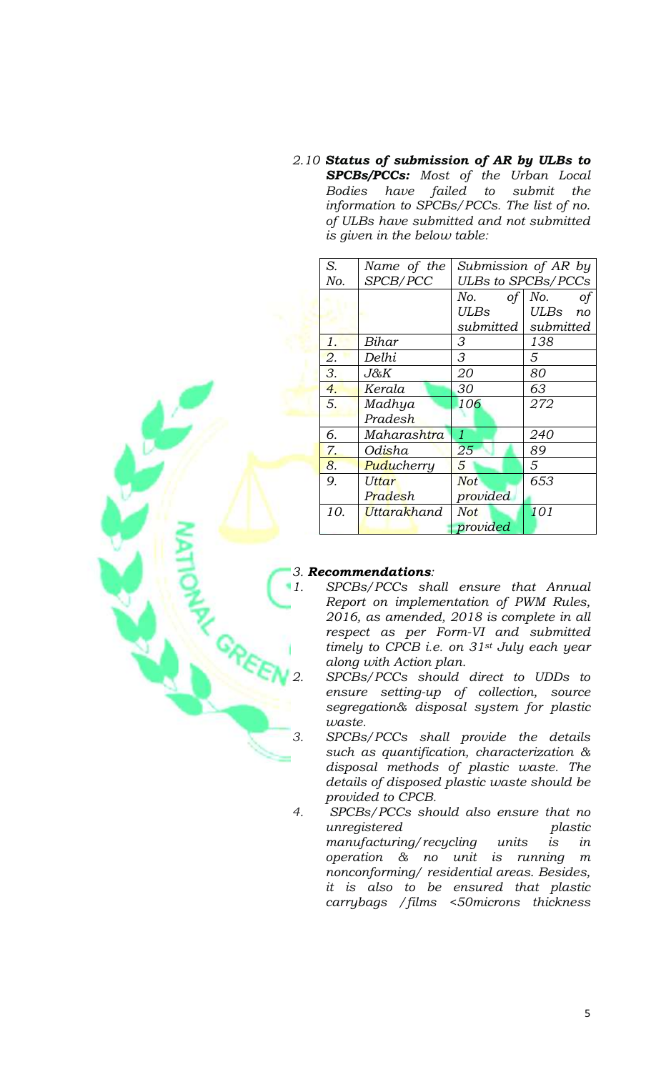*2.10 Status of submission of AR by ULBs to SPCBs/PCCs: Most of the Urban Local Bodies have failed to submit the information to SPCBs/PCCs. The list of no. of ULBs have submitted and not submitted is given in the below table:*

| S.  | Name of the               | Submission of AR by       |            |
|-----|---------------------------|---------------------------|------------|
| No. | SPCB/PCC                  | <b>ULBs to SPCBs/PCCs</b> |            |
|     |                           | No.<br>оf                 | No.<br>оf  |
|     |                           | ULBs                      | ULBs<br>no |
|     |                           | submitted                 | submitted  |
| 1.  | Bihar                     | 3                         | 138        |
| 2.  | Delhi                     | 3                         | 5          |
| 3.  | J&K                       | 20                        | 80         |
| 4.  | Kerala                    | 30                        | 63         |
| 5.  | Madhya                    | 106                       | 272        |
|     | Pradesh                   |                           |            |
| б.  | Maharashtra               | 1                         | 240        |
| 7.  | Odisha                    | 25                        | 89         |
| 8.  | Puducherry                | 5                         | 5          |
| 9.  | Uttar                     | <b>Not</b>                | 653        |
|     | Pradesh                   | provided                  |            |
| 10. | <mark>Uttarak</mark> hand | <b>Not</b>                | 101        |
|     |                           | provided                  |            |

## *3. Recommendations:*

- *1. SPCBs/PCCs shall ensure that Annual Report on implementation of PWM Rules, 2016, as amended, 2018 is complete in all respect as per Form-VI and submitted timely to CPCB i.e. on 31st July each year along with Action plan.*
- *2. SPCBs/PCCs should direct to UDDs to ensure setting-up of collection, source segregation& disposal system for plastic waste.*
- *3. SPCBs/PCCs shall provide the details such as quantification, characterization & disposal methods of plastic waste. The details of disposed plastic waste should be provided to CPCB.*
- *4. SPCBs/PCCs should also ensure that no unregistered plastic manufacturing/recycling units is in operation & no unit is running m nonconforming/ residential areas. Besides, it is also to be ensured that plastic carrybags /films <50microns thickness*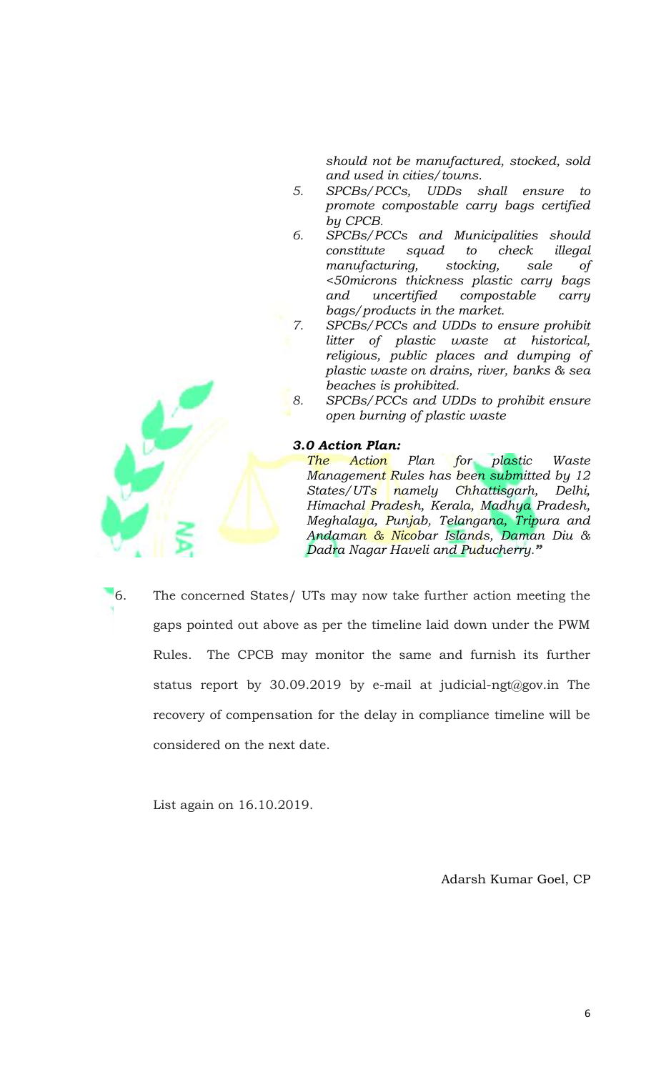*should not be manufactured, stocked, sold and used in cities/towns.*

- *5. SPCBs/PCCs, UDDs shall ensure to promote compostable carry bags certified by CPCB.*
- *6. SPCBs/PCCs and Municipalities should constitute squad to check illegal manufacturing, stocking, sale of <50microns thickness plastic carry bags and uncertified compostable carry bags/products in the market.*
- *7. SPCBs/PCCs and UDDs to ensure prohibit litter of plastic waste at historical, religious, public places and dumping of plastic waste on drains, river, banks & sea beaches is prohibited.*
- *8. SPCBs/PCCs and UDDs to prohibit ensure open burning of plastic waste*

## *3.0 Action Plan:*

*The Action Plan for plastic Waste Management Rules has been submitted by 12 States/UTs namely Chhattisgarh, Delhi, Himachal Pradesh, Kerala, Madhya Pradesh, Meghalaya, Punjab, Telangana, Tripura and Andaman & Nicobar Islands, Daman Diu & Dadra Nagar Haveli and Puducherry."*

6. The concerned States/ UTs may now take further action meeting the gaps pointed out above as per the timeline laid down under the PWM Rules. The CPCB may monitor the same and furnish its further status report by 30.09.2019 by e-mail at judicial-ngt@gov.in The recovery of compensation for the delay in compliance timeline will be considered on the next date.

List again on 16.10.2019.

Adarsh Kumar Goel, CP